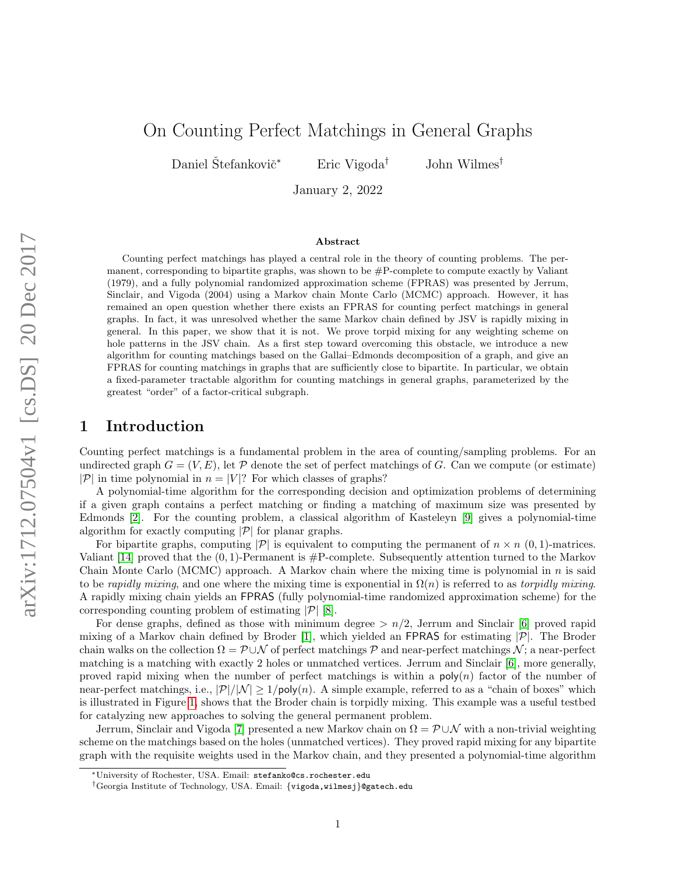# On Counting Perfect Matchings in General Graphs

Daniel Štefankovič<sup>\*</sup> ← Eric Vigoda<sup>†</sup> → John Wilmes<sup>†</sup>

January 2, 2022

### Abstract

Counting perfect matchings has played a central role in the theory of counting problems. The permanent, corresponding to bipartite graphs, was shown to be  $\#P$ -complete to compute exactly by Valiant (1979), and a fully polynomial randomized approximation scheme (FPRAS) was presented by Jerrum, Sinclair, and Vigoda (2004) using a Markov chain Monte Carlo (MCMC) approach. However, it has remained an open question whether there exists an FPRAS for counting perfect matchings in general graphs. In fact, it was unresolved whether the same Markov chain defined by JSV is rapidly mixing in general. In this paper, we show that it is not. We prove torpid mixing for any weighting scheme on hole patterns in the JSV chain. As a first step toward overcoming this obstacle, we introduce a new algorithm for counting matchings based on the Gallai–Edmonds decomposition of a graph, and give an FPRAS for counting matchings in graphs that are sufficiently close to bipartite. In particular, we obtain a fixed-parameter tractable algorithm for counting matchings in general graphs, parameterized by the greatest "order" of a factor-critical subgraph.

## 1 Introduction

Counting perfect matchings is a fundamental problem in the area of counting/sampling problems. For an undirected graph  $G = (V, E)$ , let P denote the set of perfect matchings of G. Can we compute (or estimate)  $|\mathcal{P}|$  in time polynomial in  $n = |V|$ ? For which classes of graphs?

A polynomial-time algorithm for the corresponding decision and optimization problems of determining if a given graph contains a perfect matching or finding a matching of maximum size was presented by Edmonds [\[2\]](#page-10-0). For the counting problem, a classical algorithm of Kasteleyn [\[9\]](#page-10-1) gives a polynomial-time algorithm for exactly computing  $|\mathcal{P}|$  for planar graphs.

For bipartite graphs, computing  $|\mathcal{P}|$  is equivalent to computing the permanent of  $n \times n$  (0, 1)-matrices. Valiant [\[14\]](#page-10-2) proved that the  $(0, 1)$ -Permanent is  $\#P$ -complete. Subsequently attention turned to the Markov Chain Monte Carlo (MCMC) approach. A Markov chain where the mixing time is polynomial in  $n$  is said to be rapidly mixing, and one where the mixing time is exponential in  $\Omega(n)$  is referred to as torpidly mixing. A rapidly mixing chain yields an FPRAS (fully polynomial-time randomized approximation scheme) for the corresponding counting problem of estimating  $|\mathcal{P}|$  [\[8\]](#page-10-3).

For dense graphs, defined as those with minimum degree  $> n/2$ , Jerrum and Sinclair [\[6\]](#page-10-4) proved rapid mixing of a Markov chain defined by Broder [\[1\]](#page-10-5), which yielded an FPRAS for estimating  $|\mathcal{P}|$ . The Broder chain walks on the collection  $\Omega = \mathcal{P} \cup \mathcal{N}$  of perfect matchings  $\mathcal{P}$  and near-perfect matchings  $\mathcal{N}$ ; a near-perfect matching is a matching with exactly 2 holes or unmatched vertices. Jerrum and Sinclair [\[6\]](#page-10-4), more generally, proved rapid mixing when the number of perfect matchings is within a  $poly(n)$  factor of the number of near-perfect matchings, i.e.,  $|\mathcal{P}|/|\mathcal{N}| \geq 1/\text{poly}(n)$ . A simple example, referred to as a "chain of boxes" which is illustrated in Figure [1,](#page-3-0) shows that the Broder chain is torpidly mixing. This example was a useful testbed for catalyzing new approaches to solving the general permanent problem.

Jerrum, Sinclair and Vigoda [\[7\]](#page-10-6) presented a new Markov chain on  $\Omega = \mathcal{P} \cup \mathcal{N}$  with a non-trivial weighting scheme on the matchings based on the holes (unmatched vertices). They proved rapid mixing for any bipartite graph with the requisite weights used in the Markov chain, and they presented a polynomial-time algorithm

<sup>∗</sup>University of Rochester, USA. Email: stefanko@cs.rochester.edu

<sup>†</sup>Georgia Institute of Technology, USA. Email: {vigoda,wilmesj}@gatech.edu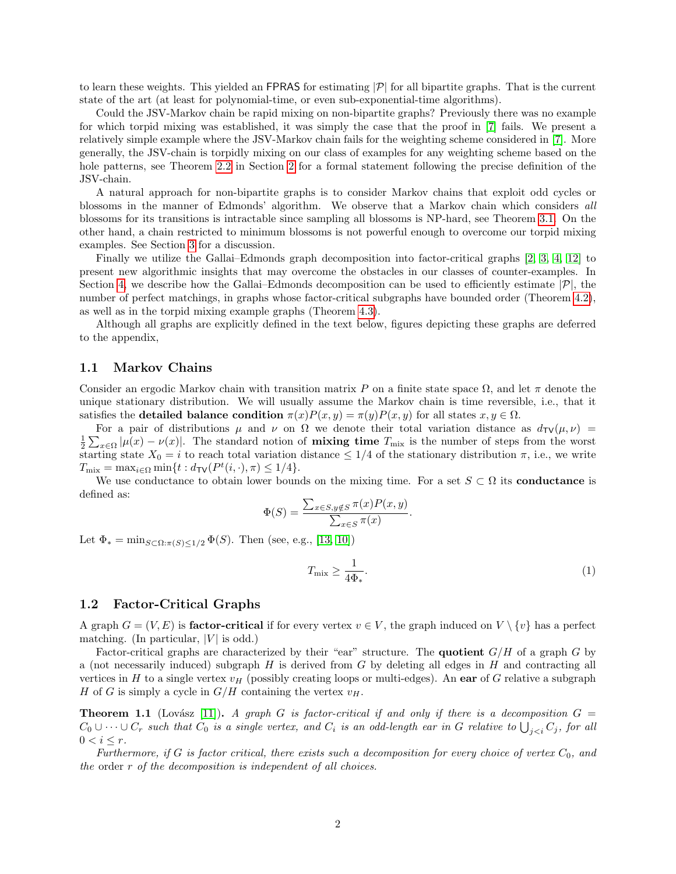to learn these weights. This yielded an FPRAS for estimating  $|\mathcal{P}|$  for all bipartite graphs. That is the current state of the art (at least for polynomial-time, or even sub-exponential-time algorithms).

Could the JSV-Markov chain be rapid mixing on non-bipartite graphs? Previously there was no example for which torpid mixing was established, it was simply the case that the proof in [\[7\]](#page-10-6) fails. We present a relatively simple example where the JSV-Markov chain fails for the weighting scheme considered in [\[7\]](#page-10-6). More generally, the JSV-chain is torpidly mixing on our class of examples for any weighting scheme based on the hole patterns, see Theorem [2.2](#page-3-1) in Section [2](#page-2-0) for a formal statement following the precise definition of the JSV-chain.

A natural approach for non-bipartite graphs is to consider Markov chains that exploit odd cycles or blossoms in the manner of Edmonds' algorithm. We observe that a Markov chain which considers all blossoms for its transitions is intractable since sampling all blossoms is NP-hard, see Theorem [3.1.](#page-7-0) On the other hand, a chain restricted to minimum blossoms is not powerful enough to overcome our torpid mixing examples. See Section [3](#page-6-0) for a discussion.

Finally we utilize the Gallai–Edmonds graph decomposition into factor-critical graphs [\[2,](#page-10-0) [3,](#page-10-7) [4,](#page-10-8) [12\]](#page-10-9) to present new algorithmic insights that may overcome the obstacles in our classes of counter-examples. In Section [4,](#page-7-1) we describe how the Gallai–Edmonds decomposition can be used to efficiently estimate  $|\mathcal{P}|$ , the number of perfect matchings, in graphs whose factor-critical subgraphs have bounded order (Theorem [4.2\)](#page-8-0), as well as in the torpid mixing example graphs (Theorem [4.3\)](#page-9-0).

Although all graphs are explicitly defined in the text below, figures depicting these graphs are deferred to the appendix,

### 1.1 Markov Chains

Consider an ergodic Markov chain with transition matrix P on a finite state space  $\Omega$ , and let  $\pi$  denote the unique stationary distribution. We will usually assume the Markov chain is time reversible, i.e., that it satisfies the **detailed balance condition**  $\pi(x)P(x,y) = \pi(y)P(x,y)$  for all states  $x, y \in \Omega$ .

For a pair of distributions  $\mu$  and  $\nu$  on  $\Omega$  we denote their total variation distance as  $d_{\text{TV}}(\mu, \nu)$  =  $\frac{1}{2}\sum_{x\in\Omega}|\mu(x)-\nu(x)|$ . The standard notion of **mixing time**  $T_{\text{mix}}$  is the number of steps from the worst starting state  $X_0 = i$  to reach total variation distance  $\leq 1/4$  of the stationary distribution  $\pi$ , i.e., we write  $T_{\text{mix}} = \max_{i \in \Omega} \min\{t : d_{\text{TV}}(P^t(i, \cdot), \pi) \leq 1/4\}.$ 

We use conductance to obtain lower bounds on the mixing time. For a set  $S \subset \Omega$  its **conductance** is defined as:

$$
\Phi(S) = \frac{\sum_{x \in S, y \notin S} \pi(x) P(x, y)}{\sum_{x \in S} \pi(x)}.
$$

Let  $\Phi_* = \min_{S \subset \Omega : \pi(S) \leq 1/2} \Phi(S)$ . Then (see, e.g., [\[13,](#page-10-10) [10\]](#page-10-11))

<span id="page-1-0"></span>
$$
T_{\text{mix}} \ge \frac{1}{4\Phi_*}.\tag{1}
$$

#### 1.2 Factor-Critical Graphs

A graph  $G = (V, E)$  is **factor-critical** if for every vertex  $v \in V$ , the graph induced on  $V \setminus \{v\}$  has a perfect matching. (In particular,  $|V|$  is odd.)

Factor-critical graphs are characterized by their "ear" structure. The **quotient**  $G/H$  of a graph G by a (not necessarily induced) subgraph  $H$  is derived from  $G$  by deleting all edges in  $H$  and contracting all vertices in H to a single vertex  $v_H$  (possibly creating loops or multi-edges). An ear of G relative a subgraph H of G is simply a cycle in  $G/H$  containing the vertex  $v_H$ .

**Theorem 1.1** (Lovász [\[11\]](#page-10-12)). A graph G is factor-critical if and only if there is a decomposition  $G =$  $C_0\cup\dots\cup C_r$  such that  $C_0$  is a single vertex, and  $C_i$  is an odd-length ear in G relative to  $\bigcup_{j, for all$  $0 < i \leq r$ .

Furthermore, if G is factor critical, there exists such a decomposition for every choice of vertex  $C_0$ , and the order r of the decomposition is independent of all choices.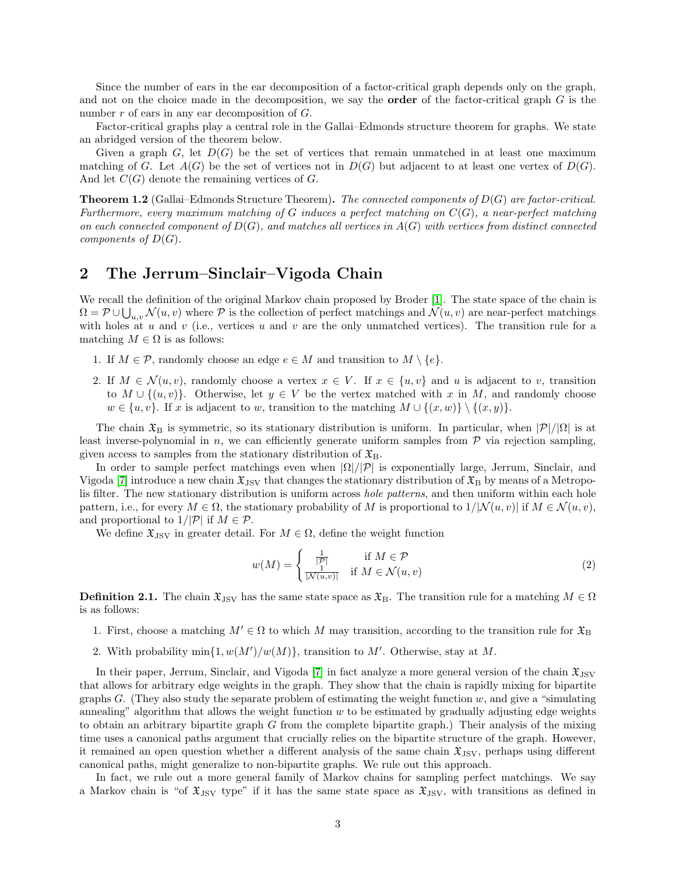Since the number of ears in the ear decomposition of a factor-critical graph depends only on the graph, and not on the choice made in the decomposition, we say the **order** of the factor-critical graph  $G$  is the number r of ears in any ear decomposition of G.

Factor-critical graphs play a central role in the Gallai–Edmonds structure theorem for graphs. We state an abridged version of the theorem below.

Given a graph G, let  $D(G)$  be the set of vertices that remain unmatched in at least one maximum matching of G. Let  $A(G)$  be the set of vertices not in  $D(G)$  but adjacent to at least one vertex of  $D(G)$ . And let  $C(G)$  denote the remaining vertices of G.

**Theorem 1.2** (Gallai–Edmonds Structure Theorem). The connected components of  $D(G)$  are factor-critical. Furthermore, every maximum matching of G induces a perfect matching on  $C(G)$ , a near-perfect matching on each connected component of  $D(G)$ , and matches all vertices in  $A(G)$  with vertices from distinct connected components of  $D(G)$ .

### <span id="page-2-0"></span>2 The Jerrum–Sinclair–Vigoda Chain

We recall the definition of the original Markov chain proposed by Broder [\[1\]](#page-10-5). The state space of the chain is  $\Omega = \mathcal{P} \cup \bigcup_{u,v} \mathcal{N}(u,v)$  where  $\mathcal P$  is the collection of perfect matchings and  $\mathcal{N}(u,v)$  are near-perfect matchings with holes at  $u$  and  $v$  (i.e., vertices  $u$  and  $v$  are the only unmatched vertices). The transition rule for a matching  $M \in \Omega$  is as follows:

- 1. If  $M \in \mathcal{P}$ , randomly choose an edge  $e \in M$  and transition to  $M \setminus \{e\}.$
- 2. If  $M \in \mathcal{N}(u, v)$ , randomly choose a vertex  $x \in V$ . If  $x \in \{u, v\}$  and u is adjacent to v, transition to  $M \cup \{(u, v)\}.$  Otherwise, let  $y \in V$  be the vertex matched with x in M, and randomly choose  $w \in \{u, v\}$ . If x is adjacent to w, transition to the matching  $M \cup \{(x, w)\}\setminus \{(x, y)\}.$

The chain  $\mathfrak{X}_B$  is symmetric, so its stationary distribution is uniform. In particular, when  $|\mathcal{P}|/|\Omega|$  is at least inverse-polynomial in  $n$ , we can efficiently generate uniform samples from  $P$  via rejection sampling, given access to samples from the stationary distribution of  $\mathfrak{X}_{B}$ .

In order to sample perfect matchings even when  $|\Omega|/|\mathcal{P}|$  is exponentially large, Jerrum, Sinclair, and Vigoda [\[7\]](#page-10-6) introduce a new chain  $\mathfrak{X}_{\text{ISV}}$  that changes the stationary distribution of  $\mathfrak{X}_{\text{B}}$  by means of a Metropolis filter. The new stationary distribution is uniform across hole patterns, and then uniform within each hole pattern, i.e., for every  $M \in \Omega$ , the stationary probability of M is proportional to  $1/|\mathcal{N}(u, v)|$  if  $M \in \mathcal{N}(u, v)$ , and proportional to  $1/|\mathcal{P}|$  if  $M \in \mathcal{P}$ .

We define  $\mathfrak{X}_{\text{JSV}}$  in greater detail. For  $M \in \Omega$ , define the weight function

<span id="page-2-2"></span>
$$
w(M) = \begin{cases} \frac{1}{|\mathcal{P}|} & \text{if } M \in \mathcal{P} \\ \frac{1}{|\mathcal{N}(u,v)|} & \text{if } M \in \mathcal{N}(u,v) \end{cases}
$$
 (2)

<span id="page-2-1"></span>**Definition 2.1.** The chain  $\mathfrak{X}_{\text{JSV}}$  has the same state space as  $\mathfrak{X}_{\text{B}}$ . The transition rule for a matching  $M \in \Omega$ is as follows:

- 1. First, choose a matching  $M' \in \Omega$  to which M may transition, according to the transition rule for  $\mathfrak{X}_{\text{B}}$
- 2. With probability  $\min\{1, w(M')/w(M)\}\$ , transition to M'. Otherwise, stay at M.

In their paper, Jerrum, Sinclair, and Vigoda [\[7\]](#page-10-6) in fact analyze a more general version of the chain  $\mathfrak{X}_{\text{JSV}}$ that allows for arbitrary edge weights in the graph. They show that the chain is rapidly mixing for bipartite graphs  $G$ . (They also study the separate problem of estimating the weight function  $w$ , and give a "simulating" annealing" algorithm that allows the weight function  $w$  to be estimated by gradually adjusting edge weights to obtain an arbitrary bipartite graph  $G$  from the complete bipartite graph.) Their analysis of the mixing time uses a canonical paths argument that crucially relies on the bipartite structure of the graph. However, it remained an open question whether a different analysis of the same chain  $\mathfrak{X}_{\rm JSV}$ , perhaps using different canonical paths, might generalize to non-bipartite graphs. We rule out this approach.

In fact, we rule out a more general family of Markov chains for sampling perfect matchings. We say a Markov chain is "of  $\mathfrak{X}_{\text{JSV}}$  type" if it has the same state space as  $\mathfrak{X}_{\text{JSV}}$ , with transitions as defined in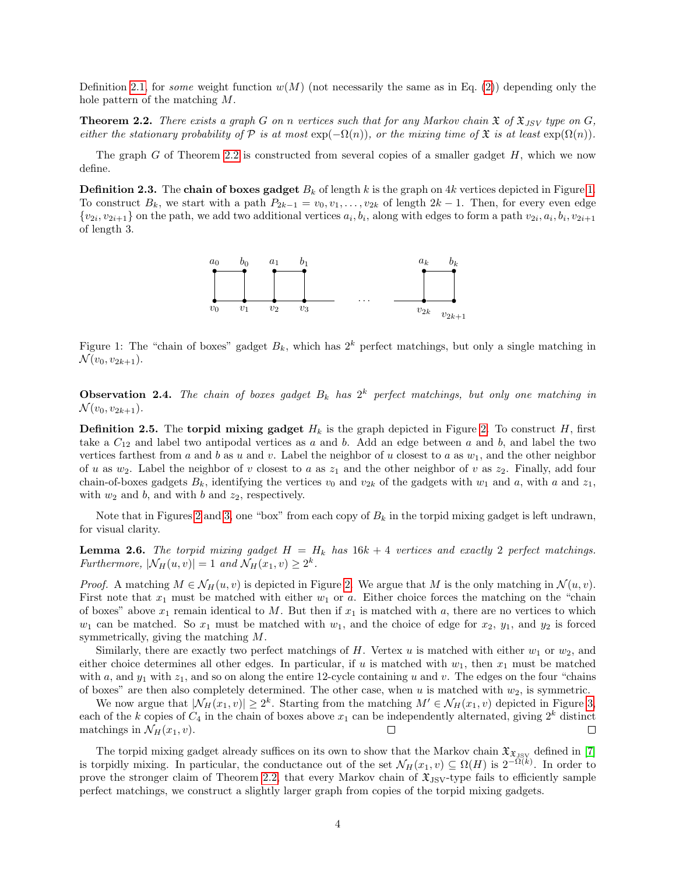Definition [2.1,](#page-2-1) for some weight function  $w(M)$  (not necessarily the same as in Eq. [\(2\)](#page-2-2)) depending only the hole pattern of the matching M.

<span id="page-3-1"></span>**Theorem 2.2.** There exists a graph G on n vertices such that for any Markov chain  $\mathfrak{X}$  of  $\mathfrak{X}_{JSV}$  type on G, either the stationary probability of  $\mathcal P$  is at most  $\exp(-\Omega(n))$ , or the mixing time of  $\mathfrak X$  is at least  $\exp(\Omega(n))$ .

The graph G of Theorem [2.2](#page-3-1) is constructed from several copies of a smaller gadget  $H$ , which we now define.

<span id="page-3-0"></span>**Definition 2.3.** The chain of boxes gadget  $B_k$  of length k is the graph on 4k vertices depicted in Figure [1.](#page-3-0) To construct  $B_k$ , we start with a path  $P_{2k-1} = v_0, v_1, \ldots, v_{2k}$  of length  $2k-1$ . Then, for every even edge  $\{v_{2i}, v_{2i+1}\}\$  on the path, we add two additional vertices  $a_i, b_i$ , along with edges to form a path  $v_{2i}, a_i, b_i, v_{2i+1}\}$ of length 3.



Figure 1: The "chain of boxes" gadget  $B_k$ , which has  $2^k$  perfect matchings, but only a single matching in  $\mathcal{N}(v_0, v_{2k+1}).$ 

**Observation 2.4.** The chain of boxes gadget  $B_k$  has  $2^k$  perfect matchings, but only one matching in  $\mathcal{N}(v_0, v_{2k+1}).$ 

<span id="page-3-3"></span>**Definition [2.](#page-4-0)5.** The **torpid mixing gadget**  $H_k$  is the graph depicted in Figure 2. To construct H, first take a  $C_{12}$  and label two antipodal vertices as a and b. Add an edge between a and b, and label the two vertices farthest from a and b as u and v. Label the neighbor of u closest to a as  $w_1$ , and the other neighbor of u as  $w_2$ . Label the neighbor of v closest to a as  $z_1$  and the other neighbor of v as  $z_2$ . Finally, add four chain-of-boxes gadgets  $B_k$ , identifying the vertices  $v_0$  and  $v_{2k}$  of the gadgets with  $w_1$  and  $a$ , with a and  $z_1$ , with  $w_2$  and b, and with b and  $z_2$ , respectively.

Note that in Figures [2](#page-4-0) and [3,](#page-5-0) one "box" from each copy of  $B_k$  in the torpid mixing gadget is left undrawn, for visual clarity.

<span id="page-3-2"></span>**Lemma 2.6.** The torpid mixing gadget  $H = H_k$  has  $16k + 4$  vertices and exactly 2 perfect matchings. Furthermore,  $|\mathcal{N}_H(u, v)| = 1$  and  $\mathcal{N}_H(x_1, v) \geq 2^k$ .

*Proof.* A matching  $M \in \mathcal{N}_H(u, v)$  is depicted in Figure [2.](#page-4-0) We argue that M is the only matching in  $\mathcal{N}(u, v)$ . First note that  $x_1$  must be matched with either  $w_1$  or a. Either choice forces the matching on the "chain of boxes" above  $x_1$  remain identical to M. But then if  $x_1$  is matched with a, there are no vertices to which  $w_1$  can be matched. So  $x_1$  must be matched with  $w_1$ , and the choice of edge for  $x_2$ ,  $y_1$ , and  $y_2$  is forced symmetrically, giving the matching M.

Similarly, there are exactly two perfect matchings of H. Vertex u is matched with either  $w_1$  or  $w_2$ , and either choice determines all other edges. In particular, if u is matched with  $w_1$ , then  $x_1$  must be matched with a, and  $y_1$  with  $z_1$ , and so on along the entire 12-cycle containing u and v. The edges on the four "chains" of boxes" are then also completely determined. The other case, when  $u$  is matched with  $w_2$ , is symmetric.

We now argue that  $|\mathcal{N}_H(x_1, v)| \geq 2^k$ . Starting from the matching  $M' \in \mathcal{N}_H(x_1, v)$  depicted in Figure [3,](#page-5-0) each of the k copies of  $C_4$  in the chain of boxes above  $x_1$  can be independently alternated, giving  $2^k$  distinct matchings in  $\mathcal{N}_H(x_1, v)$ .  $\Box$ □

The torpid mixing gadget already suffices on its own to show that the Markov chain  $\mathfrak{X}_{\mathfrak{X}_{\text{JSV}}}$  defined in [\[7\]](#page-10-6) is torpidly mixing. In particular, the conductance out of the set  $\mathcal{N}_H(x_1, v) \subseteq \Omega(H)$  is  $2^{-\Omega(k)}$ . In order to prove the stronger claim of Theorem [2.2,](#page-3-1) that every Markov chain of  $\mathfrak{X}_{\text{JSV}}$ -type fails to efficiently sample perfect matchings, we construct a slightly larger graph from copies of the torpid mixing gadgets.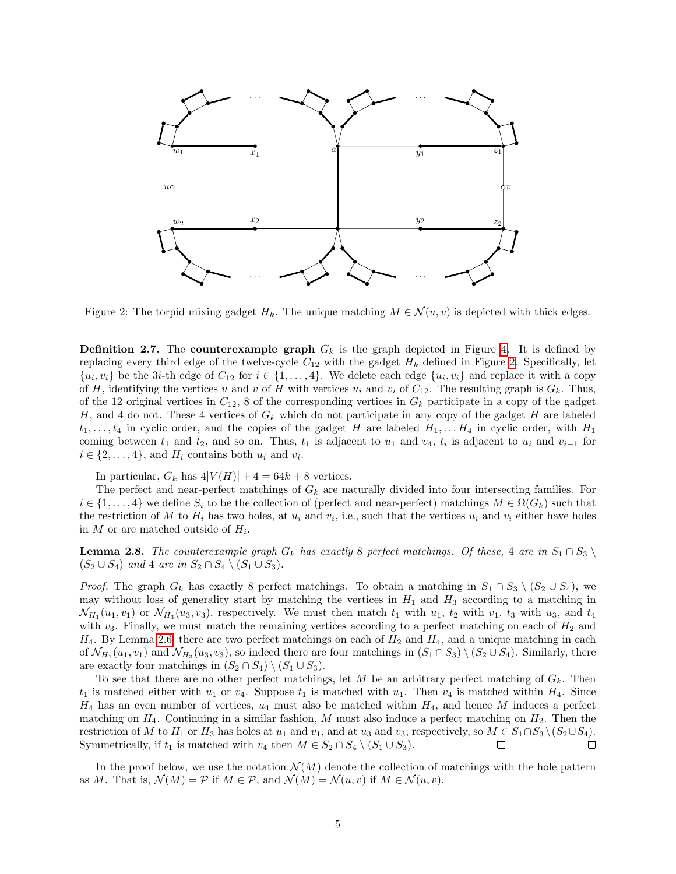<span id="page-4-0"></span>

Figure 2: The torpid mixing gadget  $H_k$ . The unique matching  $M \in \mathcal{N}(u, v)$  is depicted with thick edges.

<span id="page-4-1"></span>**Definition 2.7.** The **counterexample graph**  $G_k$  is the graph depicted in Figure [4.](#page-5-1) It is defined by replacing every third edge of the twelve-cycle  $C_{12}$  with the gadget  $H_k$  defined in Figure [2.](#page-4-0) Specifically, let  $\{u_i, v_i\}$  be the 3*i*-th edge of  $C_{12}$  for  $i \in \{1, ..., 4\}$ . We delete each edge  $\{u_i, v_i\}$  and replace it with a copy of H, identifying the vertices u and v of H with vertices  $u_i$  and  $v_i$  of  $C_{12}$ . The resulting graph is  $G_k$ . Thus, of the 12 original vertices in  $C_{12}$ , 8 of the corresponding vertices in  $G_k$  participate in a copy of the gadget H, and 4 do not. These 4 vertices of  $G_k$  which do not participate in any copy of the gadget H are labeled  $t_1, \ldots, t_4$  in cyclic order, and the copies of the gadget H are labeled  $H_1, \ldots, H_4$  in cyclic order, with  $H_1$ coming between  $t_1$  and  $t_2$ , and so on. Thus,  $t_1$  is adjacent to  $u_1$  and  $v_4$ ,  $t_i$  is adjacent to  $u_i$  and  $v_{i-1}$  for  $i \in \{2, \ldots, 4\}$ , and  $H_i$  contains both  $u_i$  and  $v_i$ .

In particular,  $G_k$  has  $4|V(H)| + 4 = 64k + 8$  vertices.

The perfect and near-perfect matchings of  $G_k$  are naturally divided into four intersecting families. For  $i \in \{1, \ldots, 4\}$  we define  $S_i$  to be the collection of (perfect and near-perfect) matchings  $M \in \Omega(G_k)$  such that the restriction of M to  $H_i$  has two holes, at  $u_i$  and  $v_i$ , i.e., such that the vertices  $u_i$  and  $v_i$  either have holes in M or are matched outside of  $H_i$ .

<span id="page-4-2"></span>**Lemma 2.8.** The counterexample graph  $G_k$  has exactly 8 perfect matchings. Of these, 4 are in  $S_1 \cap S_3 \setminus$  $(S_2 \cup S_4)$  and 4 are in  $S_2 \cap S_4 \setminus (S_1 \cup S_3)$ .

*Proof.* The graph  $G_k$  has exactly 8 perfect matchings. To obtain a matching in  $S_1 \cap S_3 \setminus (S_2 \cup S_4)$ , we may without loss of generality start by matching the vertices in  $H_1$  and  $H_3$  according to a matching in  $\mathcal{N}_{H_1}(u_1, v_1)$  or  $\mathcal{N}_{H_3}(u_3, v_3)$ , respectively. We must then match  $t_1$  with  $u_1$ ,  $t_2$  with  $v_1$ ,  $t_3$  with  $u_3$ , and  $t_4$ with  $v_3$ . Finally, we must match the remaining vertices according to a perfect matching on each of  $H_2$  and  $H_4$ . By Lemma [2.6,](#page-3-2) there are two perfect matchings on each of  $H_2$  and  $H_4$ , and a unique matching in each of  $\mathcal{N}_{H_1}(u_1, v_1)$  and  $\mathcal{N}_{H_3}(u_3, v_3)$ , so indeed there are four matchings in  $(S_1 \cap S_3) \setminus (S_2 \cup S_4)$ . Similarly, there are exactly four matchings in  $(S_2 \cap S_4) \setminus (S_1 \cup S_3)$ .

To see that there are no other perfect matchings, let M be an arbitrary perfect matching of  $G_k$ . Then  $t_1$  is matched either with  $u_1$  or  $v_4$ . Suppose  $t_1$  is matched with  $u_1$ . Then  $v_4$  is matched within  $H_4$ . Since  $H_4$  has an even number of vertices,  $u_4$  must also be matched within  $H_4$ , and hence M induces a perfect matching on  $H_4$ . Continuing in a similar fashion, M must also induce a perfect matching on  $H_2$ . Then the restriction of M to H<sub>1</sub> or H<sub>3</sub> has holes at  $u_1$  and  $v_1$ , and at  $u_3$  and  $v_3$ , respectively, so  $M \in S_1 \cap S_3 \setminus (S_2 \cup S_4)$ . Symmetrically, if  $t_1$  is matched with  $v_4$  then  $M \in S_2 \cap S_4 \setminus (S_1 \cup S_3)$ .  $\Box$ 

In the proof below, we use the notation  $\mathcal{N}(M)$  denote the collection of matchings with the hole pattern as M. That is,  $\mathcal{N}(M) = \mathcal{P}$  if  $M \in \mathcal{P}$ , and  $\mathcal{N}(M) = \mathcal{N}(u, v)$  if  $M \in \mathcal{N}(u, v)$ .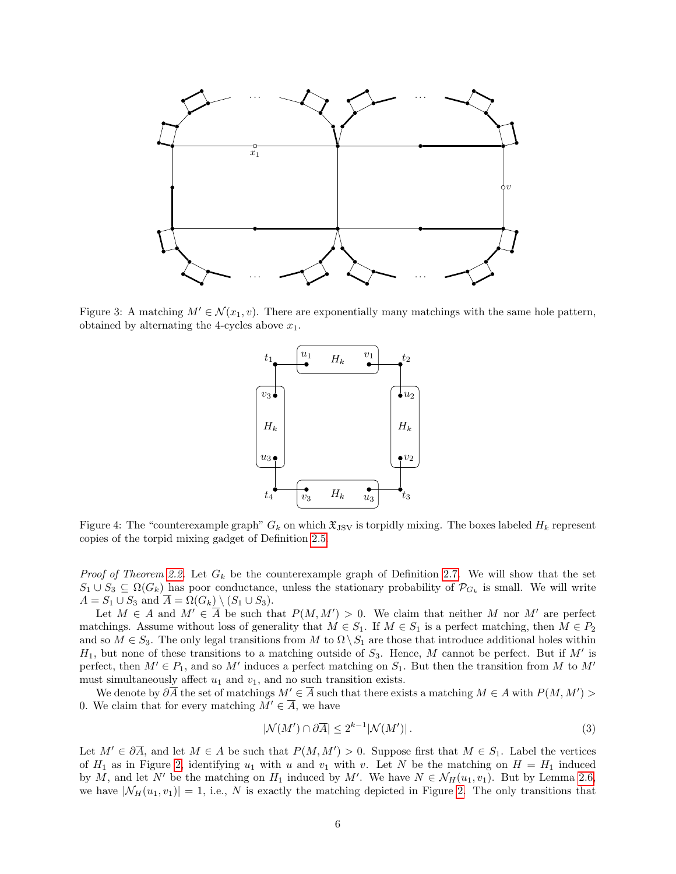<span id="page-5-0"></span>

<span id="page-5-1"></span>Figure 3: A matching  $M' \in \mathcal{N}(x_1, v)$ . There are exponentially many matchings with the same hole pattern, obtained by alternating the 4-cycles above  $x_1$ .



Figure 4: The "counterexample graph"  $G_k$  on which  $\mathfrak{X}_{\text{JSV}}$  is torpidly mixing. The boxes labeled  $H_k$  represent copies of the torpid mixing gadget of Definition [2.5.](#page-3-3)

*Proof of Theorem [2.2.](#page-3-1)* Let  $G_k$  be the counterexample graph of Definition [2.7.](#page-4-1) We will show that the set  $S_1 \cup S_3 \subseteq \Omega(G_k)$  has poor conductance, unless the stationary probability of  $\mathcal{P}_{G_k}$  is small. We will write  $A = S_1 \cup S_3$  and  $\overline{A} = \Omega(G_k) \setminus (S_1 \cup S_3).$ 

Let  $M \in A$  and  $M' \in \overline{A}$  be such that  $P(M, M') > 0$ . We claim that neither M nor M' are perfect matchings. Assume without loss of generality that  $M \in S_1$ . If  $M \in S_1$  is a perfect matching, then  $M \in P_2$ and so  $M \in S_3$ . The only legal transitions from M to  $\Omega \setminus S_1$  are those that introduce additional holes within  $H_1$ , but none of these transitions to a matching outside of  $S_3$ . Hence, M cannot be perfect. But if M' is perfect, then  $M' \in P_1$ , and so M' induces a perfect matching on  $S_1$ . But then the transition from M to M' must simultaneously affect  $u_1$  and  $v_1$ , and no such transition exists.

We denote by  $\partial \overline{A}$  the set of matchings  $M' \in \overline{A}$  such that there exists a matching  $M \in A$  with  $P(M, M') >$ 0. We claim that for every matching  $M' \in \overline{A}$ , we have

<span id="page-5-2"></span>
$$
|\mathcal{N}(M') \cap \partial \overline{A}| \le 2^{k-1} |\mathcal{N}(M')| \,. \tag{3}
$$

Let  $M' \in \partial \overline{A}$ , and let  $M \in A$  be such that  $P(M, M') > 0$ . Suppose first that  $M \in S_1$ . Label the vertices of  $H_1$  as in Figure [2,](#page-4-0) identifying  $u_1$  with u and  $v_1$  with v. Let N be the matching on  $H = H_1$  induced by M, and let N' be the matching on  $H_1$  induced by M'. We have  $N \in \mathcal{N}_H(u_1, v_1)$ . But by Lemma [2.6,](#page-3-2) we have  $|\mathcal{N}_H(u_1, v_1)| = 1$ , i.e., N is exactly the matching depicted in Figure [2.](#page-4-0) The only transitions that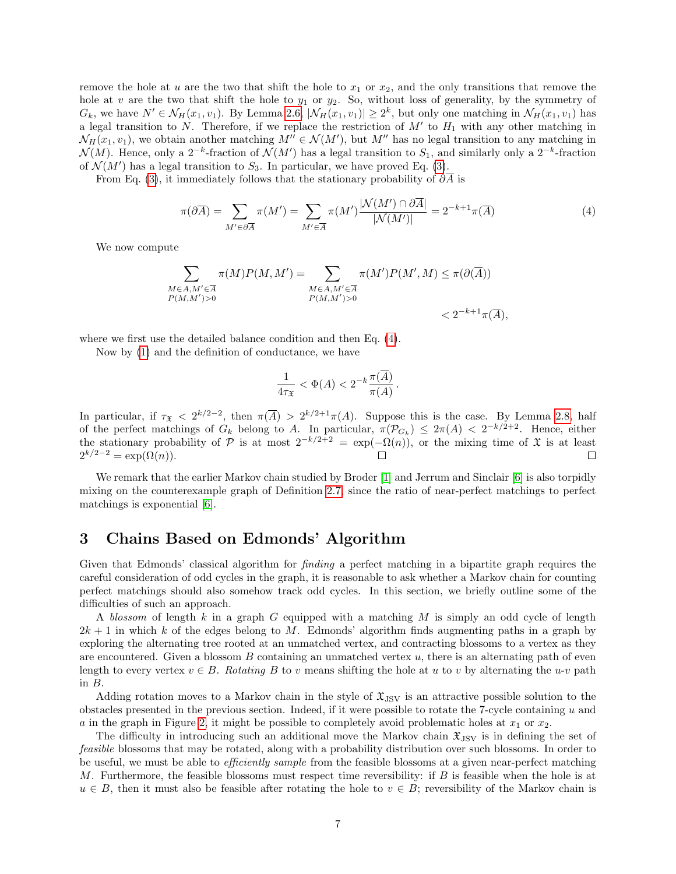remove the hole at u are the two that shift the hole to  $x_1$  or  $x_2$ , and the only transitions that remove the hole at v are the two that shift the hole to  $y_1$  or  $y_2$ . So, without loss of generality, by the symmetry of  $G_k$ , we have  $N' \in \mathcal{N}_H(x_1, v_1)$ . By Lemma [2.6,](#page-3-2)  $|\mathcal{N}_H(x_1, v_1)| \geq 2^k$ , but only one matching in  $\mathcal{N}_H(x_1, v_1)$  has a legal transition to N. Therefore, if we replace the restriction of  $M'$  to  $H_1$  with any other matching in  $\mathcal{N}_H(x_1, v_1)$ , we obtain another matching  $M'' \in \mathcal{N}(M')$ , but  $M''$  has no legal transition to any matching in  $\mathcal{N}(M)$ . Hence, only a 2<sup>-k</sup>-fraction of  $\mathcal{N}(M')$  has a legal transition to  $S_1$ , and similarly only a 2<sup>-k</sup>-fraction of  $\mathcal{N}(M')$  has a legal transition to  $S_3$ . In particular, we have proved Eq. [\(3\)](#page-5-2).

From Eq. [\(3\)](#page-5-2), it immediately follows that the stationary probability of  $\partial \overline{A}$  is

<span id="page-6-1"></span>
$$
\pi(\partial \overline{A}) = \sum_{M' \in \partial \overline{A}} \pi(M') = \sum_{M' \in \overline{A}} \pi(M') \frac{|N(M') \cap \partial \overline{A}|}{|N(M')|} = 2^{-k+1} \pi(\overline{A})
$$
(4)

We now compute

$$
\sum_{\substack{M \in A, M' \in \overline{A} \\ P(M, M') > 0}} \pi(M)P(M, M') = \sum_{\substack{M \in A, M' \in \overline{A} \\ P(M, M') > 0}} \pi(M')P(M', M) \leq \pi(\partial(\overline{A}))
$$
  

$$
< 2^{-k+1}\pi(\overline{A}),
$$

where we first use the detailed balance condition and then Eq. [\(4\)](#page-6-1).

Now by [\(1\)](#page-1-0) and the definition of conductance, we have

$$
\frac{1}{4\tau_{\mathfrak{X}}} < \Phi(A) < 2^{-k} \frac{\pi(\overline{A})}{\pi(A)} \, .
$$

In particular, if  $\tau_{\mathfrak{X}} < 2^{k/2-2}$ , then  $\pi(\overline{A}) > 2^{k/2+1}\pi(A)$ . Suppose this is the case. By Lemma [2.8,](#page-4-2) half of the perfect matchings of  $G_k$  belong to A. In particular,  $\pi(\mathcal{P}_{G_k}) \leq 2\pi(A) < 2^{-k/2+2}$ . Hence, either the stationary probability of P is at most  $2^{-k/2+2} = \exp(-\Omega(n))$ , or the mixing time of X is at least  $2^{k/2-2} = \exp(\Omega(n)).$ □

We remark that the earlier Markov chain studied by Broder [\[1\]](#page-10-5) and Jerrum and Sinclair [\[6\]](#page-10-4) is also torpidly mixing on the counterexample graph of Definition [2.7,](#page-4-1) since the ratio of near-perfect matchings to perfect matchings is exponential [\[6\]](#page-10-4).

### <span id="page-6-0"></span>3 Chains Based on Edmonds' Algorithm

Given that Edmonds' classical algorithm for *finding* a perfect matching in a bipartite graph requires the careful consideration of odd cycles in the graph, it is reasonable to ask whether a Markov chain for counting perfect matchings should also somehow track odd cycles. In this section, we briefly outline some of the difficulties of such an approach.

A blossom of length k in a graph G equipped with a matching M is simply an odd cycle of length  $2k + 1$  in which k of the edges belong to M. Edmonds' algorithm finds augmenting paths in a graph by exploring the alternating tree rooted at an unmatched vertex, and contracting blossoms to a vertex as they are encountered. Given a blossom B containing an unmatched vertex  $u$ , there is an alternating path of even length to every vertex  $v \in B$ . Rotating B to v means shifting the hole at u to v by alternating the u-v path in B.

Adding rotation moves to a Markov chain in the style of  $\mathfrak{X}_{\text{JSV}}$  is an attractive possible solution to the obstacles presented in the previous section. Indeed, if it were possible to rotate the 7-cycle containing u and a in the graph in Figure [2,](#page-4-0) it might be possible to completely avoid problematic holes at  $x_1$  or  $x_2$ .

The difficulty in introducing such an additional move the Markov chain  $\mathfrak{X}_{\text{JSV}}$  is in defining the set of feasible blossoms that may be rotated, along with a probability distribution over such blossoms. In order to be useful, we must be able to efficiently sample from the feasible blossoms at a given near-perfect matching M. Furthermore, the feasible blossoms must respect time reversibility: if  $B$  is feasible when the hole is at  $u \in B$ , then it must also be feasible after rotating the hole to  $v \in B$ ; reversibility of the Markov chain is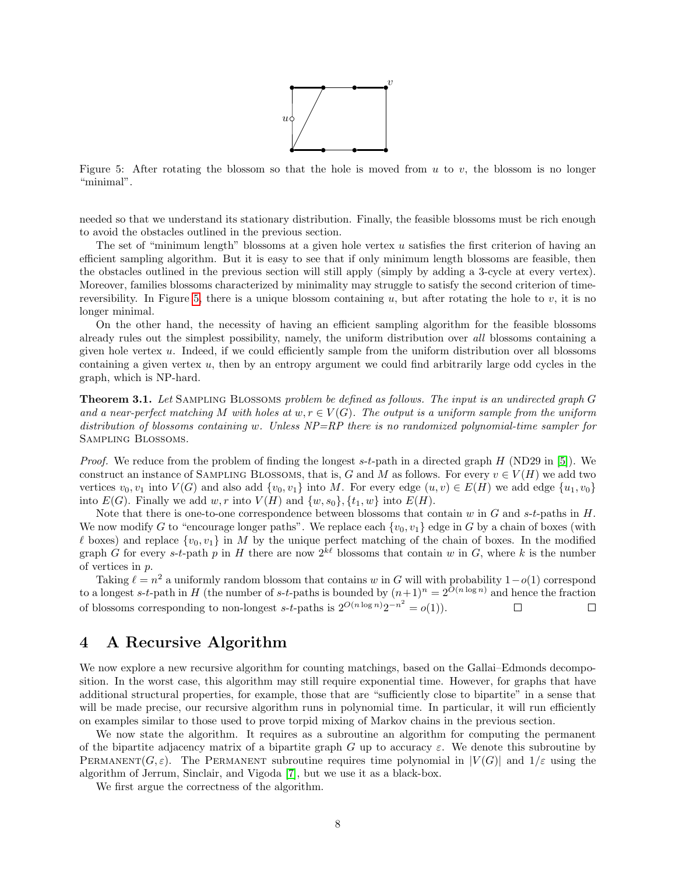

<span id="page-7-2"></span>Figure 5: After rotating the blossom so that the hole is moved from  $u$  to  $v$ , the blossom is no longer "minimal".

needed so that we understand its stationary distribution. Finally, the feasible blossoms must be rich enough to avoid the obstacles outlined in the previous section.

The set of "minimum length" blossoms at a given hole vertex u satisfies the first criterion of having an efficient sampling algorithm. But it is easy to see that if only minimum length blossoms are feasible, then the obstacles outlined in the previous section will still apply (simply by adding a 3-cycle at every vertex). Moreover, families blossoms characterized by minimality may struggle to satisfy the second criterion of time-reversibility. In Figure [5,](#page-7-2) there is a unique blossom containing u, but after rotating the hole to v, it is no longer minimal.

On the other hand, the necessity of having an efficient sampling algorithm for the feasible blossoms already rules out the simplest possibility, namely, the uniform distribution over all blossoms containing a given hole vertex u. Indeed, if we could efficiently sample from the uniform distribution over all blossoms containing a given vertex  $u$ , then by an entropy argument we could find arbitrarily large odd cycles in the graph, which is NP-hard.

<span id="page-7-0"></span>**Theorem 3.1.** Let SAMPLING BLOSSOMS problem be defined as follows. The input is an undirected graph G and a near-perfect matching M with holes at  $w, r \in V(G)$ . The output is a uniform sample from the uniform distribution of blossoms containing w. Unless  $NP = RP$  there is no randomized polynomial-time sampler for Sampling Blossoms.

*Proof.* We reduce from the problem of finding the longest s-t-path in a directed graph  $H$  (ND29 in [\[5\]](#page-10-13)). We construct an instance of SAMPLING BLOSSOMS, that is, G and M as follows. For every  $v \in V(H)$  we add two vertices  $v_0, v_1$  into  $V(G)$  and also add  $\{v_0, v_1\}$  into M. For every edge  $(u, v) \in E(H)$  we add edge  $\{u_1, v_0\}$ into  $E(G)$ . Finally we add w, r into  $V(H)$  and  $\{w, s_0\}$ ,  $\{t_1, w\}$  into  $E(H)$ .

Note that there is one-to-one correspondence between blossoms that contain w in  $G$  and s-t-paths in  $H$ . We now modify G to "encourage longer paths". We replace each  $\{v_0, v_1\}$  edge in G by a chain of boxes (with  $\ell$  boxes) and replace  $\{v_0, v_1\}$  in M by the unique perfect matching of the chain of boxes. In the modified graph G for every s-t-path p in H there are now  $2^{k\ell}$  blossoms that contain w in G, where k is the number of vertices in p.

Taking  $\ell = n^2$  a uniformly random blossom that contains w in G will with probability  $1-o(1)$  correspond to a longest s-t-path in H (the number of s-t-paths is bounded by  $(n+1)^n = 2^{O(n \log n)}$  and hence the fraction of blossoms corresponding to non-longest s-t-paths is  $2^{O(n \log n)}2^{-n^2} = o(1)$ .  $\Box$  $\Box$ 

# <span id="page-7-1"></span>4 A Recursive Algorithm

We now explore a new recursive algorithm for counting matchings, based on the Gallai–Edmonds decomposition. In the worst case, this algorithm may still require exponential time. However, for graphs that have additional structural properties, for example, those that are "sufficiently close to bipartite" in a sense that will be made precise, our recursive algorithm runs in polynomial time. In particular, it will run efficiently on examples similar to those used to prove torpid mixing of Markov chains in the previous section.

We now state the algorithm. It requires as a subroutine an algorithm for computing the permanent of the bipartite adjacency matrix of a bipartite graph G up to accuracy  $\varepsilon$ . We denote this subroutine by PERMANENT $(G, \varepsilon)$ . The PERMANENT subroutine requires time polynomial in  $|V(G)|$  and  $1/\varepsilon$  using the algorithm of Jerrum, Sinclair, and Vigoda [\[7\]](#page-10-6), but we use it as a black-box.

We first argue the correctness of the algorithm.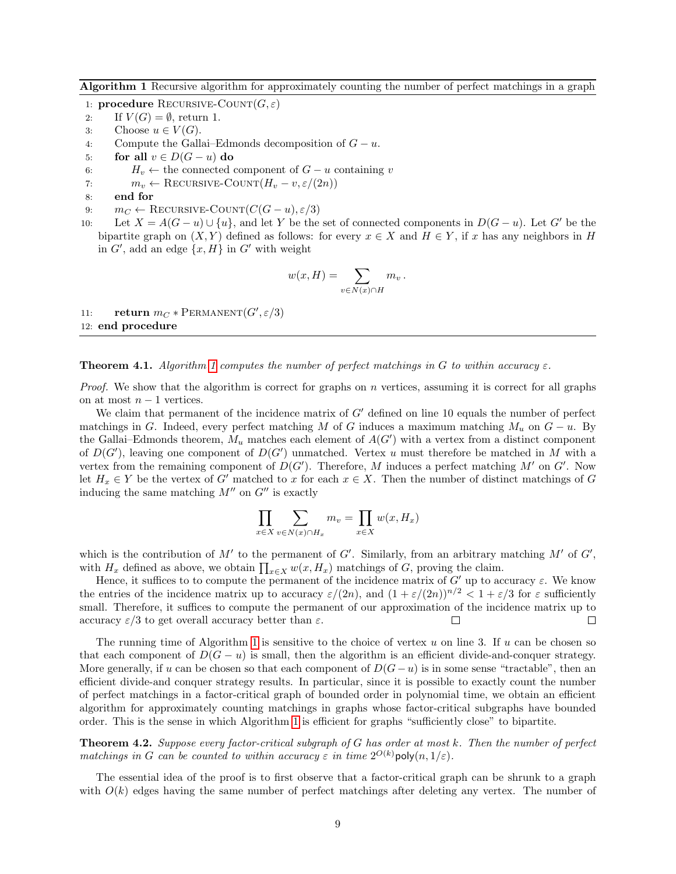<span id="page-8-1"></span>Algorithm 1 Recursive algorithm for approximately counting the number of perfect matchings in a graph

1: **procedure** RECURSIVE-COUNT $(G, \varepsilon)$ 

- 2: If  $V(G) = \emptyset$ , return 1.
- 3: Choose  $u \in V(G)$ .
- 4: Compute the Gallai–Edmonds decomposition of  $G u$ .
- 5: for all  $v \in D(G u)$  do
- 6:  $H_v \leftarrow$  the connected component of  $G u$  containing v
- 7:  $m_v \leftarrow \text{RECURSIVE-COUNT}(H_v v, \varepsilon/(2n))$
- 8: end for
- 9:  $m_C \leftarrow$  RECURSIVE-COUNT $(C(G u), \varepsilon/3)$
- 10: Let  $X = A(G u) \cup \{u\}$ , and let Y be the set of connected components in  $D(G u)$ . Let G' be the bipartite graph on  $(X, Y)$  defined as follows: for every  $x \in X$  and  $H \in Y$ , if x has any neighbors in H in  $G'$ , add an edge  $\{x, H\}$  in  $G'$  with weight

$$
w(x,H) = \sum_{v \in N(x) \cap H} m_v.
$$

11: **return**  $m_C * \text{PERMANENT}(G', \varepsilon/3)$ 12: end procedure

**Theorem 4.1.** Algorithm [1](#page-8-1) computes the number of perfect matchings in G to within accuracy  $\varepsilon$ .

*Proof.* We show that the algorithm is correct for graphs on  $n$  vertices, assuming it is correct for all graphs on at most  $n-1$  vertices.

We claim that permanent of the incidence matrix of  $G'$  defined on line 10 equals the number of perfect matchings in G. Indeed, every perfect matching M of G induces a maximum matching  $M_u$  on  $G - u$ . By the Gallai–Edmonds theorem,  $M_u$  matches each element of  $A(G')$  with a vertex from a distinct component of  $D(G')$ , leaving one component of  $D(G')$  unmatched. Vertex u must therefore be matched in M with a vertex from the remaining component of  $D(G')$ . Therefore, M induces a perfect matching M' on G'. Now let  $H_x \in Y$  be the vertex of G' matched to x for each  $x \in X$ . Then the number of distinct matchings of G inducing the same matching  $M''$  on  $G''$  is exactly

$$
\prod_{x \in X} \sum_{v \in N(x) \cap H_x} m_v = \prod_{x \in X} w(x, H_x)
$$

which is the contribution of  $M'$  to the permanent of  $G'$ . Similarly, from an arbitrary matching  $M'$  of  $G'$ , with  $H_x$  defined as above, we obtain  $\prod_{x \in X} w(x, H_x)$  matchings of G, proving the claim.

Hence, it suffices to to compute the permanent of the incidence matrix of  $G'$  up to accuracy  $\varepsilon$ . We know the entries of the incidence matrix up to accuracy  $\varepsilon/(2n)$ , and  $(1 + \varepsilon/(2n))^{n/2} < 1 + \varepsilon/3$  for  $\varepsilon$  sufficiently small. Therefore, it suffices to compute the permanent of our approximation of the incidence matrix up to accuracy  $\varepsilon/3$  to get overall accuracy better than  $\varepsilon$ .  $\Box$  $\Box$ 

The running time of Algorithm [1](#page-8-1) is sensitive to the choice of vertex  $u$  on line 3. If  $u$  can be chosen so that each component of  $D(G - u)$  is small, then the algorithm is an efficient divide-and-conquer strategy. More generally, if u can be chosen so that each component of  $D(G-u)$  is in some sense "tractable", then an efficient divide-and conquer strategy results. In particular, since it is possible to exactly count the number of perfect matchings in a factor-critical graph of bounded order in polynomial time, we obtain an efficient algorithm for approximately counting matchings in graphs whose factor-critical subgraphs have bounded order. This is the sense in which Algorithm [1](#page-8-1) is efficient for graphs "sufficiently close" to bipartite.

<span id="page-8-0"></span>Theorem 4.2. Suppose every factor-critical subgraph of G has order at most k. Then the number of perfect matchings in G can be counted to within accuracy  $\varepsilon$  in time  $2^{O(k)}$  poly $(n,1/\varepsilon)$ .

The essential idea of the proof is to first observe that a factor-critical graph can be shrunk to a graph with  $O(k)$  edges having the same number of perfect matchings after deleting any vertex. The number of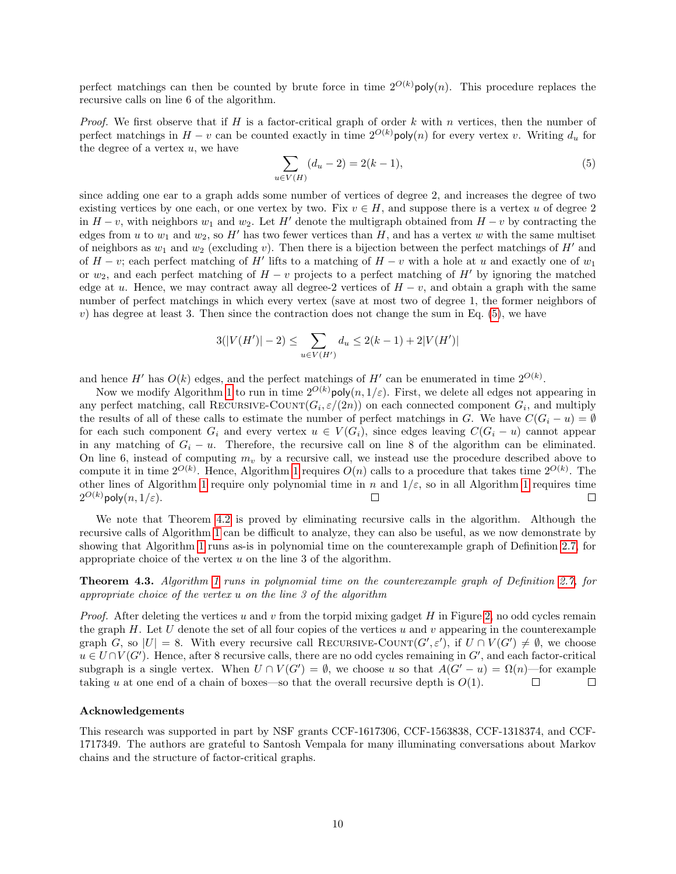perfect matchings can then be counted by brute force in time  $2^{O(k)}$ poly $(n)$ . This procedure replaces the recursive calls on line 6 of the algorithm.

*Proof.* We first observe that if  $H$  is a factor-critical graph of order  $k$  with  $n$  vertices, then the number of perfect matchings in  $H - v$  can be counted exactly in time  $2^{O(k)}$ poly(n) for every vertex v. Writing  $d_u$  for the degree of a vertex  $u$ , we have

<span id="page-9-1"></span>
$$
\sum_{u \in V(H)} (d_u - 2) = 2(k - 1),\tag{5}
$$

since adding one ear to a graph adds some number of vertices of degree 2, and increases the degree of two existing vertices by one each, or one vertex by two. Fix  $v \in H$ , and suppose there is a vertex u of degree 2 in  $H - v$ , with neighbors  $w_1$  and  $w_2$ . Let H' denote the multigraph obtained from  $H - v$  by contracting the edges from u to  $w_1$  and  $w_2$ , so H' has two fewer vertices than H, and has a vertex w with the same multiset of neighbors as  $w_1$  and  $w_2$  (excluding v). Then there is a bijection between the perfect matchings of H' and of  $H - v$ ; each perfect matching of H' lifts to a matching of  $H - v$  with a hole at u and exactly one of  $w_1$ or  $w_2$ , and each perfect matching of  $H - v$  projects to a perfect matching of H' by ignoring the matched edge at u. Hence, we may contract away all degree-2 vertices of  $H - v$ , and obtain a graph with the same number of perfect matchings in which every vertex (save at most two of degree 1, the former neighbors of  $v$ ) has degree at least 3. Then since the contraction does not change the sum in Eq.  $(5)$ , we have

$$
3(|V(H')|-2) \le \sum_{u \in V(H')} d_u \le 2(k-1) + 2|V(H')|
$$

and hence H' has  $O(k)$  edges, and the perfect matchings of H' can be enumerated in time  $2^{O(k)}$ .

Now we modify Algorithm [1](#page-8-1) to run in time  $2^{O(k)}$ poly $(n, 1/\varepsilon)$ . First, we delete all edges not appearing in any perfect matching, call RECURSIVE-COUNT $(G_i, \varepsilon/(2n))$  on each connected component  $G_i$ , and multiply the results of all of these calls to estimate the number of perfect matchings in G. We have  $C(G_i - u) = \emptyset$ for each such component  $G_i$  and every vertex  $u \in V(G_i)$ , since edges leaving  $C(G_i - u)$  cannot appear in any matching of  $G_i - u$ . Therefore, the recursive call on line 8 of the algorithm can be eliminated. On line 6, instead of computing  $m_v$  by a recursive call, we instead use the procedure described above to compute it in time  $2^{O(k)}$ . Hence, Algorithm [1](#page-8-1) requires  $O(n)$  calls to a procedure that takes time  $2^{O(k)}$ . The other lines of Algorithm [1](#page-8-1) require only polynomial time in n and  $1/\varepsilon$ , so in all Algorithm 1 requires time  $2^{O(k)}$ poly $(n,1/\varepsilon).$ П  $\Box$ 

We note that Theorem [4.2](#page-8-0) is proved by eliminating recursive calls in the algorithm. Although the recursive calls of Algorithm [1](#page-8-1) can be difficult to analyze, they can also be useful, as we now demonstrate by showing that Algorithm [1](#page-8-1) runs as-is in polynomial time on the counterexample graph of Definition [2.7,](#page-4-1) for appropriate choice of the vertex u on the line 3 of the algorithm.

<span id="page-9-0"></span>Theorem 4.3. Algorithm [1](#page-8-1) runs in polynomial time on the counterexample graph of Definition [2.7,](#page-4-1) for appropriate choice of the vertex u on the line 3 of the algorithm

*Proof.* After deleting the vertices u and v from the torpid mixing gadget H in Figure [2,](#page-4-0) no odd cycles remain the graph  $H$ . Let U denote the set of all four copies of the vertices u and v appearing in the counterexample graph G, so  $|U| = 8$ . With every recursive call RECURSIVE-COUNT $(G', \varepsilon')$ , if  $U \cap V(G') \neq \emptyset$ , we choose  $u \in U \cap V(G')$ . Hence, after 8 recursive calls, there are no odd cycles remaining in  $G'$ , and each factor-critical subgraph is a single vertex. When  $U \cap V(G') = \emptyset$ , we choose u so that  $A(G'-u) = \Omega(n)$ —for example taking u at one end of a chain of boxes—so that the overall recursive depth is  $O(1)$ .  $\Box$  $\Box$ 

#### Acknowledgements

This research was supported in part by NSF grants CCF-1617306, CCF-1563838, CCF-1318374, and CCF-1717349. The authors are grateful to Santosh Vempala for many illuminating conversations about Markov chains and the structure of factor-critical graphs.